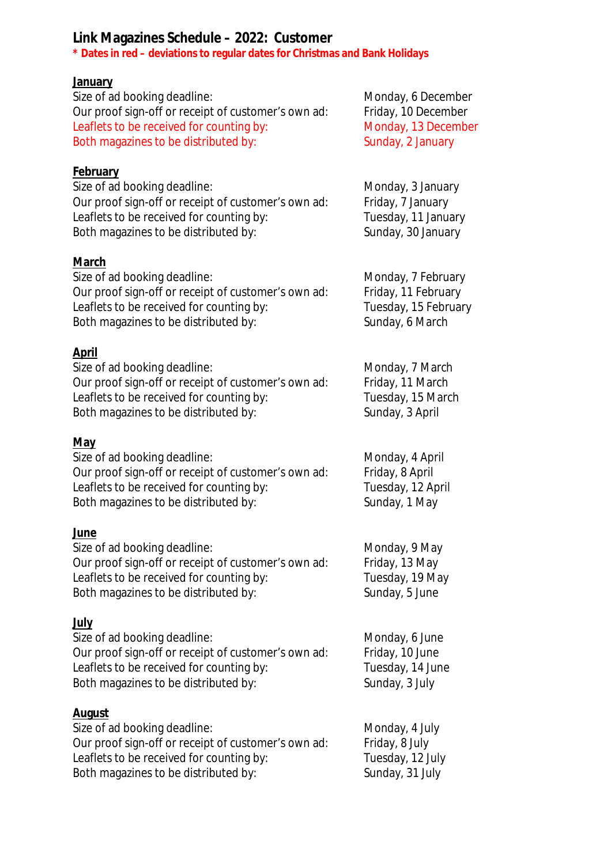## **Link Magazines Schedule – 2022: Customer**

**\* Dates in red – deviations to regular dates for Christmas and Bank Holidays** 

#### **January**

| Size of ad booking deadline:                        | Monday, 6 December  |
|-----------------------------------------------------|---------------------|
| Our proof sign-off or receipt of customer's own ad: | Friday, 10 December |
| Leaflets to be received for counting by:            | Monday, 13 December |
| Both magazines to be distributed by:                | Sunday, 2 January   |
|                                                     |                     |

#### **February**

Size of ad booking deadline:<br>
Our proof sign-off or receipt of customer's own ad: Friday, 7 January Our proof sign-off or receipt of customer's own ad: Leaflets to be received for counting by: Tuesday, 11 January Both magazines to be distributed by: Sunday, 30 January

#### **March**

| Size of ad booking deadline:                        | Monday, 7 February   |
|-----------------------------------------------------|----------------------|
| Our proof sign-off or receipt of customer's own ad: | Friday, 11 February  |
| Leaflets to be received for counting by:            | Tuesday, 15 February |
| Both magazines to be distributed by:                | Sunday, 6 March      |

### **April**

| Size of ad booking deadline:                        | Monday, 7 March   |
|-----------------------------------------------------|-------------------|
| Our proof sign-off or receipt of customer's own ad: | Friday, 11 March  |
| Leaflets to be received for counting by:            | Tuesday, 15 March |
| Both magazines to be distributed by:                | Sunday, 3 April   |

#### **May**

| Size of ad booking deadline:                        | Monday, 4 April   |
|-----------------------------------------------------|-------------------|
| Our proof sign-off or receipt of customer's own ad: | Friday, 8 April   |
| Leaflets to be received for counting by:            | Tuesday, 12 April |
| Both magazines to be distributed by:                | Sunday, 1 May     |
|                                                     |                   |

### **June**

| Monday, 9 May   |
|-----------------|
| Friday, 13 May  |
| Tuesday, 19 May |
| Sunday, 5 June  |
|                 |

### **July**

| Size of ad booking deadline:                        | Monday, 6 June   |
|-----------------------------------------------------|------------------|
| Our proof sign-off or receipt of customer's own ad: | Friday, 10 June  |
| Leaflets to be received for counting by:            | Tuesday, 14 June |
| Both magazines to be distributed by:                | Sunday, 3 July   |
|                                                     |                  |

### **August**

| Size of ad booking deadline:                        | Monday, 4 July   |
|-----------------------------------------------------|------------------|
| Our proof sign-off or receipt of customer's own ad: | Friday, 8 July   |
| Leaflets to be received for counting by:            | Tuesday, 12 July |
| Both magazines to be distributed by:                | Sunday, 31 July  |